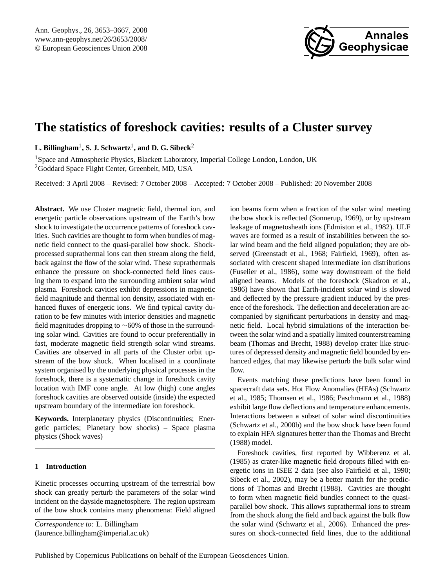

# <span id="page-0-0"></span>**The statistics of foreshock cavities: results of a Cluster survey**

 $\mathbf{L.}$  Billingham $^1, \mathbf{S.}$  J. Schwartz $^1,$  and  $\mathbf{D.}$  G. Sibeck $^2$ 

<sup>1</sup>Space and Atmospheric Physics, Blackett Laboratory, Imperial College London, London, UK <sup>2</sup>Goddard Space Flight Center, Greenbelt, MD, USA

Received: 3 April 2008 – Revised: 7 October 2008 – Accepted: 7 October 2008 – Published: 20 November 2008

**Abstract.** We use Cluster magnetic field, thermal ion, and energetic particle observations upstream of the Earth's bow shock to investigate the occurrence patterns of foreshock cavities. Such cavities are thought to form when bundles of magnetic field connect to the quasi-parallel bow shock. Shockprocessed suprathermal ions can then stream along the field, back against the flow of the solar wind. These suprathermals enhance the pressure on shock-connected field lines causing them to expand into the surrounding ambient solar wind plasma. Foreshock cavities exhibit depressions in magnetic field magnitude and thermal ion density, associated with enhanced fluxes of energetic ions. We find typical cavity duration to be few minutes with interior densities and magnetic field magnitudes dropping to ∼60% of those in the surrounding solar wind. Cavities are found to occur preferentially in fast, moderate magnetic field strength solar wind streams. Cavities are observed in all parts of the Cluster orbit upstream of the bow shock. When localised in a coordinate system organised by the underlying physical processes in the foreshock, there is a systematic change in foreshock cavity location with IMF cone angle. At low (high) cone angles foreshock cavities are observed outside (inside) the expected upstream boundary of the intermediate ion foreshock.

**Keywords.** Interplanetary physics (Discontinuities; Energetic particles; Planetary bow shocks) – Space plasma physics (Shock waves)

# **1 Introduction**

Kinetic processes occurring upstream of the terrestrial bow shock can greatly perturb the parameters of the solar wind incident on the dayside magnetosphere. The region upstream of the bow shock contains many phenomena: Field aligned

*Correspondence to:* L. Billingham

(laurence.billingham@imperial.ac.uk)

ion beams form when a fraction of the solar wind meeting the bow shock is reflected [\(Sonnerup,](#page-14-0) [1969\)](#page-14-0), or by upstream leakage of magnetosheath ions [\(Edmiston et al.,](#page-13-0) [1982\)](#page-13-0). ULF waves are formed as a result of instabilities between the solar wind beam and the field aligned population; they are observed [\(Greenstadt et al.,](#page-13-1) [1968;](#page-13-1) [Fairfield,](#page-13-2) [1969\)](#page-13-2), often associated with crescent shaped intermediate ion distributions [\(Fuselier et al.,](#page-13-3) [1986\)](#page-13-3), some way downstream of the field aligned beams. Models of the foreshock [\(Skadron et al.,](#page-13-4) [1986\)](#page-13-4) have shown that Earth-incident solar wind is slowed and deflected by the pressure gradient induced by the presence of the foreshock. The deflection and deceleration are accompanied by significant perturbations in density and magnetic field. Local hybrid simulations of the interaction between the solar wind and a spatially limited counterstreaming beam [\(Thomas and Brecht,](#page-14-1) [1988\)](#page-14-1) develop crater like structures of depressed density and magnetic field bounded by enhanced edges, that may likewise perturb the bulk solar wind flow.

Events matching these predictions have been found in spacecraft data sets. Hot Flow Anomalies (HFAs) [\(Schwartz](#page-13-5) [et al.,](#page-13-5) [1985;](#page-13-5) [Thomsen et al.,](#page-14-2) [1986;](#page-14-2) [Paschmann et al.,](#page-13-6) [1988\)](#page-13-6) exhibit large flow deflections and temperature enhancements. Interactions between a subset of solar wind discontinuities [\(Schwartz et al.,](#page-13-7) [2000b\)](#page-13-7) and the bow shock have been found to explain HFA signatures better than the [Thomas and Brecht](#page-14-1) [\(1988\)](#page-14-1) model.

Foreshock cavities, first reported by [Wibberenz et al.](#page-14-3) [\(1985\)](#page-14-3) as crater-like magnetic field dropouts filled with energetic ions in ISEE 2 data (see also [Fairfield et al.,](#page-13-8) [1990;](#page-13-8) [Sibeck et al.,](#page-13-9) [2002\)](#page-13-9), may be a better match for the predictions of [Thomas and Brecht](#page-14-1) [\(1988\)](#page-14-1). Cavities are thought to form when magnetic field bundles connect to the quasiparallel bow shock. This allows suprathermal ions to stream from the shock along the field and back against the bulk flow the solar wind [\(Schwartz et al.,](#page-13-10) [2006\)](#page-13-10). Enhanced the pressures on shock-connected field lines, due to the additional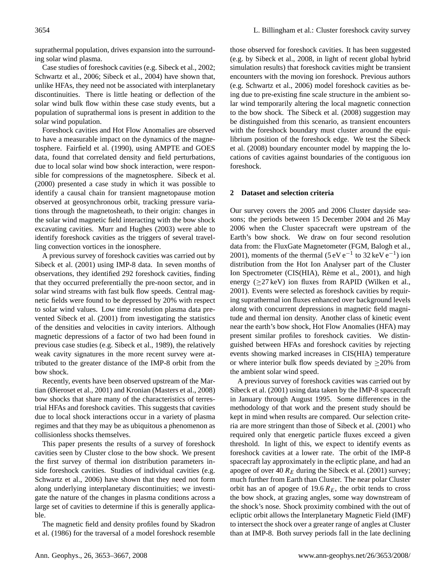suprathermal population, drives expansion into the surrounding solar wind plasma.

Case studies of foreshock cavities (e.g. [Sibeck et al.,](#page-13-9) [2002;](#page-13-9) [Schwartz et al.,](#page-13-10) [2006;](#page-13-10) [Sibeck et al.,](#page-13-11) [2004\)](#page-13-11) have shown that, unlike HFAs, they need not be associated with interplanetary discontinuities. There is little heating or deflection of the solar wind bulk flow within these case study events, but a population of suprathermal ions is present in addition to the solar wind population.

Foreshock cavities and Hot Flow Anomalies are observed to have a measurable impact on the dynamics of the magnetosphere. [Fairfield et al.](#page-13-8) [\(1990\)](#page-13-8), using AMPTE and GOES data, found that correlated density and field perturbations, due to local solar wind bow shock interaction, were responsible for compressions of the magnetosphere. [Sibeck et al.](#page-13-12) [\(2000\)](#page-13-12) presented a case study in which it was possible to identify a causal chain for transient magnetopause motion observed at geosynchronous orbit, tracking pressure variations through the magnetosheath, to their origin: changes in the solar wind magnetic field interacting with the bow shock excavating cavities. [Murr and Hughes](#page-13-13) [\(2003\)](#page-13-13) were able to identify foreshock cavities as the triggers of several travelling convection vortices in the ionosphere.

A previous survey of foreshock cavities was carried out by [Sibeck et al.](#page-13-14) [\(2001\)](#page-13-14) using IMP-8 data. In seven months of observations, they identified 292 foreshock cavities, finding that they occurred preferentially the pre-noon sector, and in solar wind streams with fast bulk flow speeds. Central magnetic fields were found to be depressed by 20% with respect to solar wind values. Low time resolution plasma data prevented [Sibeck et al.](#page-13-14) [\(2001\)](#page-13-14) from investigating the statistics of the densities and velocities in cavity interiors. Although magnetic depressions of a factor of two had been found in previous case studies (e.g. [Sibeck et al.,](#page-13-15) [1989\)](#page-13-15), the relatively weak cavity signatures in the more recent survey were attributed to the greater distance of the IMP-8 orbit from the bow shock.

Recently, events have been observed upstream of the Martian [\(Øieroset et al.,](#page-13-16) [2001\)](#page-13-16) and Kronian [\(Masters et al.,](#page-13-17) [2008\)](#page-13-17) bow shocks that share many of the characteristics of terrestrial HFAs and foreshock cavities. This suggests that cavities due to local shock interactions occur in a variety of plasma regimes and that they may be as ubiquitous a phenomenon as collisionless shocks themselves.

This paper presents the results of a survey of foreshock cavities seen by Cluster close to the bow shock. We present the first survey of thermal ion distribution parameters inside foreshock cavities. Studies of individual cavities (e.g. [Schwartz et al.,](#page-13-10) [2006\)](#page-13-10) have shown that they need not form along underlying interplanetary discontinuities; we investigate the nature of the changes in plasma conditions across a large set of cavities to determine if this is generally applicable.

The magnetic field and density profiles found by [Skadron](#page-13-4) [et al.](#page-13-4) [\(1986\)](#page-13-4) for the traversal of a model foreshock resemble those observed for foreshock cavities. It has been suggested (e.g. by [Sibeck et al.,](#page-13-18) [2008,](#page-13-18) in light of recent global hybrid simulation results) that foreshock cavities might be transient encounters with the moving ion foreshock. Previous authors (e.g. [Schwartz et al.,](#page-13-10) [2006\)](#page-13-10) model foreshock cavities as being due to pre-existing fine scale structure in the ambient solar wind temporarily altering the local magnetic connection to the bow shock. The [Sibeck et al.](#page-13-18) [\(2008\)](#page-13-18) suggestion may be distinguished from this scenario, as transient encounters with the foreshock boundary must cluster around the equilibrium position of the foreshock edge. We test the [Sibeck](#page-13-18) [et al.](#page-13-18) [\(2008\)](#page-13-18) boundary encounter model by mapping the locations of cavities against boundaries of the contiguous ion foreshock.

## <span id="page-1-0"></span>**2 Dataset and selection criteria**

Our survey covers the 2005 and 2006 Cluster dayside seasons; the periods between 15 December 2004 and 26 May 2006 when the Cluster spacecraft were upstream of the Earth's bow shock. We draw on four second resolution data from: the FluxGate Magnetometer (FGM, [Balogh et al.,](#page-12-0) [2001\)](#page-12-0), moments of the thermal  $(5 \text{ eV} \text{ e}^{-1} \text{ to } 32 \text{ keV} \text{ e}^{-1})$  ion distribution from the Hot Ion Analyser part of the Cluster Ion Spectrometer (CIS(HIA), Rème et al., [2001\)](#page-13-19), and high energy ( $\geq$ 27 keV) ion fluxes from RAPID [\(Wilken et al.,](#page-14-4) [2001\)](#page-14-4). Events were selected as foreshock cavities by requiring suprathermal ion fluxes enhanced over background levels along with concurrent depressions in magnetic field magnitude and thermal ion density. Another class of kinetic event near the earth's bow shock, Hot Flow Anomalies (HFA) may present similar profiles to foreshock cavities. We distinguished between HFAs and foreshock cavities by rejecting events showing marked increases in CIS(HIA) temperature or where interior bulk flow speeds deviated by  $\geq$ 20% from the ambient solar wind speed.

A previous survey of foreshock cavities was carried out by [Sibeck et al.](#page-13-14) [\(2001\)](#page-13-14) using data taken by the IMP-8 spacecraft in January through August 1995. Some differences in the methodology of that work and the present study should be kept in mind when results are compared. Our selection criteria are more stringent than those of [Sibeck et al.](#page-13-14) [\(2001\)](#page-13-14) who required only that energetic particle fluxes exceed a given threshold. In light of this, we expect to identify events as foreshock cavities at a lower rate. The orbit of the IMP-8 spacecraft lay approximately in the ecliptic plane, and had an apogee of over 40  $R_E$  during the [Sibeck et al.](#page-13-14) [\(2001\)](#page-13-14) survey; much further from Earth than Cluster. The near polar Cluster orbit has an of apogee of 19.6  $R_E$ , the orbit tends to cross the bow shock, at grazing angles, some way downstream of the shock's nose. Shock proximity combined with the out of ecliptic orbit allows the Interplanetary Magnetic Field (IMF) to intersect the shock over a greater range of angles at Cluster than at IMP-8. Both survey periods fall in the late declining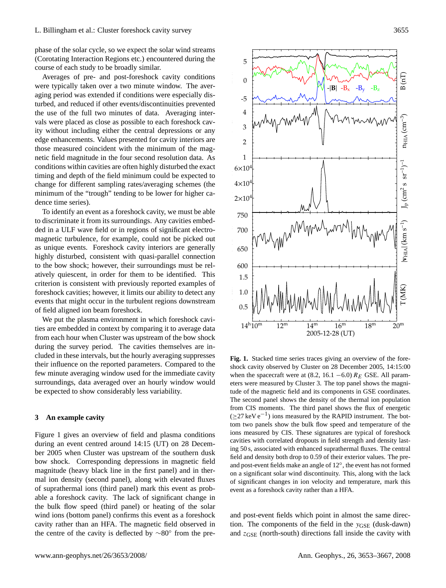phase of the solar cycle, so we expect the solar wind streams Corotating Interaction Regions etc.) encountered during the corollating metal Research regions every energy

Averages of pre- and post-foreshock cavity conditions were typically taken over a two minute window. The averaging period was extended if conditions were especially disturbed, and reduced if other events/discontinuities prevented the use of the full two minutes of data. Averaging intervals were placed as close as possible to each foreshock cavity without including either the central depressions or any edge enhancements. Values presented for cavity interiors are those measured coincident with the minimum of the magnetic field magnitude in the four second resolution data. As conditions within cavities are often highly disturbed the exact timing and depth of the field minimum could be expected to change for different sampling rates/averaging schemes (the minimum of the "trough" tending to be lower for higher cadence time series).  $\frac{1}{2}$  verages of pre- and posi-foreshock cavity conditions  $\mu$  hold magnitude in the four second resolution data. As

To identify an event as a foreshock cavity, we must be able to discriminate it from its surroundings. Any cavities embedded in a ULF wave field or in regions of significant electromagnetic turbulence, for example, could not be picked out as unique events. Foreshock cavity interiors are generally highly disturbed, consistent with quasi-parallel connection to the bow shock; however, their surroundings must be relatively quiescent, in order for them to be identified. This criterion is consistent with previously reported examples of foreshock cavities; however, it limits our ability to detect any events that might occur in the turbulent regions downstream of field aligned ion beam foreshock.  $R_{\text{net}}$  and  $R_{\text{net}}$ ,  $R_{\text{net}}$  and  $R_{\text{net}}$  and  $R_{\text{net}}$ 

We put the plasma environment in which foreshock cavities are embedded in context by comparing it to average data from each hour when Cluster was upstream of the bow shock during the survey period. The cavities themselves are included in these intervals, but the hourly averaging suppresses their influence on the reported parameters. Compared to the few minute averaging window used for the immediate cavity surroundings, data averaged over an hourly window would be expected to show considerably less variability.

#### **3 An example cavity**

Figure [1](#page-2-0) gives an overview of field and plasma conditions during an event centred around 14:15 (UT) on 28 December 2005 when Cluster was upstream of the southern dusk bow shock. Corresponding depressions in magnetic field magnitude (heavy black line in the first panel) and in thermal ion density (second panel), along with elevated fluxes of suprathermal ions (third panel) mark this event as probable a foreshock cavity. The lack of significant change in the bulk flow speed (third panel) or heating of the solar wind ions (bottom panel) confirms this event as a foreshock cavity rather than an HFA. The magnetic field observed in the centre of the cavity is deflected by ∼80◦ from the pre-



<span id="page-2-0"></span>**Fig. 1.** Stacked time series traces giving an overview of the fore-**Fig. 1.** Stacked time series traces giving an overview of the foreshock cavity observed by Cluster on 28 December 2005, 14:15:00 when the spacecraft were at (8.2, 16.1 –6.0)  $R_E$  GSE. All parameters were measured by Cluster 3. The top panel shows the magnitude of the magnetic field and its components in GSE coordinates. The second panel shows the density of the thermal ion population The second panel shows the density of the thermal for population from CIS moments. The third panel shows the flux of energetic (≥27 keV e<sup>−1</sup>) ions measured by the RAPID instrument. The bottom two panels show the bulk flow speed and temperature of the ions measured by CIS. These signatures are typical of foreshock cavities with correlated dropouts in field strength and density lasting 50 s, associated with enhanced suprathermal fluxes. The central  $\frac{1}{2}$  field and density both drop to 0.59 of their exterior values. The preneld and density both drop to 0.95 of their exterior values. The pre-<br>and post-event fields make an angle of 12°, the event has not formed on a significant solar wind discontinuity. This, along with the lack of significant changes in ion velocity and temperature, mark this as a foreshock cavity rather than a HFA. event as a foreshock cavity rather than a HFA.

and post-event fields which point in almost the same direction. The components of the field in the  $y_{GSE}$  (dusk-dawn) and  $z_{GSE}$  (north-south) directions fall inside the cavity with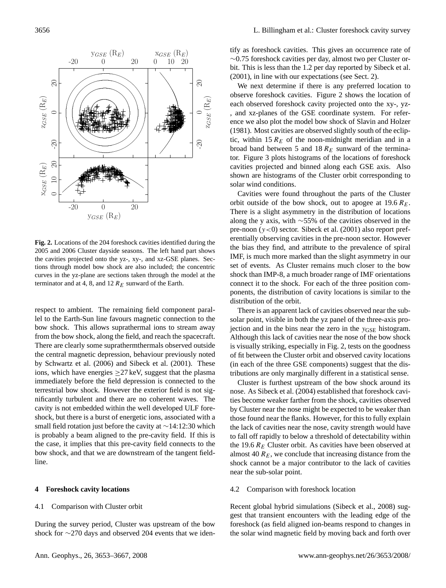

<span id="page-3-0"></span>**Fig. 2.** Locations of the 204 foreshock cavities identified during the **Fig. 2.** Locations of the 204 foreshock cavities identified during the 2005 and 2006 Cluster dayside seasons. The left hand part shows 2005 and 2006 Cluster dayside seasons. The left hand part shows the cavities projected onto the yz-, xy-, and xz-GSE planes. Sections through model bow shock are also included; the concentric curves in the yz-plane are sections taken through the model at the terminator and at 4, 8, and 12  $R_E$  sunward of the Earth.

respect to ambient. The remaining field component parallel to the Earth-Sun line favours magnetic connection to the bow shock. This allows suprathermal ions to stream away from the bow shock, along the field, and reach the spacecraft. There are clearly some suprathermthermals observed outside the central magnetic depression, behaviour previously noted by [Schwartz et al.](#page-13-10) [\(2006\)](#page-13-10) and [Sibeck et al.](#page-13-14) [\(2001\)](#page-13-14). These ions, which have energies  $\geq$  27 keV, suggest that the plasma immediately before the field depression is connected to the terrestrial bow shock. However the exterior field is not significantly turbulent and there are no coherent waves. The cavity is not embedded within the well developed ULF foreshock, but there is a burst of energetic ions, associated with a small field rotation just before the cavity at ∼14:12:30 which is probably a beam aligned to the pre-cavity field. If this is the case, it implies that this pre-cavity field connects to the bow shock, and that we are downstream of the tangent fieldline.

#### **4 Foreshock cavity locations**

## 4.1 Comparison with Cluster orbit

During the survey period, Cluster was upstream of the bow shock for ∼270 days and observed 204 events that we identify as foreshock cavities. This gives an occurrence rate of ∼0.75 foreshock cavities per day, almost two per Cluster orbit. This is less than the 1.2 per day reported by [Sibeck et al.](#page-13-14) [\(2001\)](#page-13-14), in line with our expectations (see Sect. [2\)](#page-1-0).

We next determine if there is any preferred location to observe foreshock cavities. Figure [2](#page-3-0) shows the location of each observed foreshock cavity projected onto the xy-, yz- , and xz-planes of the GSE coordinate system. For reference we also plot the model bow shock of [Slavin and Holzer](#page-13-20) [\(1981\)](#page-13-20). Most cavities are observed slightly south of the ecliptic, within 15  $R_E$  of the noon-midnight meridian and in a broad band between 5 and 18  $R_E$  sunward of the terminator. Figure [3](#page-4-0) plots histograms of the locations of foreshock cavities projected and binned along each GSE axis. Also shown are histograms of the Cluster orbit corresponding to solar wind conditions.

Cavities were found throughout the parts of the Cluster orbit outside of the bow shock, out to apogee at  $19.6 R<sub>E</sub>$ . There is a slight asymmetry in the distribution of locations along the y axis, with ∼55% of the cavities observed in the pre-noon  $(y<0)$  sector. [Sibeck et al.](#page-13-14) [\(2001\)](#page-13-14) also report preferentially observing cavities in the pre-noon sector. However the bias they find, and attribute to the prevalence of spiral IMF, is much more marked than the slight asymmetry in our set of events. As Cluster remains much closer to the bow shock than IMP-8, a much broader range of IMF orientations connect it to the shock. For each of the three position components, the distribution of cavity locations is similar to the distribution of the orbit.

There is an apparent lack of cavities observed near the subsolar point, visible in both the yz panel of the three-axis projection and in the bins near the zero in the  $y_{GSE}$  histogram. Although this lack of cavities near the nose of the bow shock is visually striking, especially in Fig. [2,](#page-3-0) tests on the goodness of fit between the Cluster orbit and observed cavity locations (in each of the three GSE components) suggest that the distributions are only marginally different in a statistical sense.

Cluster is furthest upstream of the bow shock around its nose. As [Sibeck et al.](#page-13-11) [\(2004\)](#page-13-11) established that foreshock cavities become weaker farther from the shock, cavities observed by Cluster near the nose might be expected to be weaker than those found near the flanks. However, for this to fully explain the lack of cavities near the nose, cavity strength would have to fall off rapidly to below a threshold of detectability within the 19.6  $R_E$  Cluster orbit. As cavities have been observed at almost 40  $R_E$ , we conclude that increasing distance from the shock cannot be a major contributor to the lack of cavities near the sub-solar point.

#### 4.2 Comparison with foreshock location

Recent global hybrid simulations [\(Sibeck et al.,](#page-13-18) [2008\)](#page-13-18) suggest that transient encounters with the leading edge of the foreshock (as field aligned ion-beams respond to changes in the solar wind magnetic field by moving back and forth over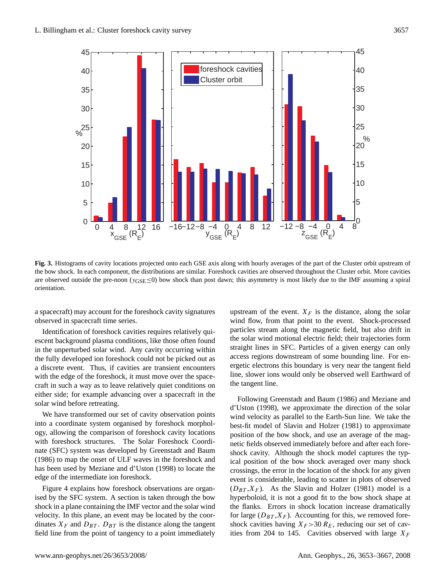

<span id="page-4-0"></span>Fig. 3. Histograms of care component, the distributions are similar, rotestic averages of the part of the part of the part of the part of the part of the part of the part of the part of the part of the part of the part of are observed outside the pre-noon ( $y_{GSE} \le 0$ ) bow shock than post dawn; this asymmetry is most likely due to the IMF assuming a spiral<br>orientation **Fig. 3.** Histograms of cavity locations projected onto each GSE axis along with hourly averages of the part of the Cluster orbit upstream of the bow shock. In each component, the distributions are similar. Foreshock cavities are observed throughout the Cluster orbit. More cavities orientation.

a spacecraft) may account for the foreshock cavity signatures observed in spacecraft time series.

Identification of foreshock cavities requires relatively quiescent background plasma conditions, like those often found in the unperturbed solar wind. Any cavity occurring within the fully developed ion foreshock could not be picked out as a discrete event. Thus, if cavities are transient encounters with the edge of the foreshock, it must move over the spacecraft in such a way as to leave relatively quiet conditions on either side; for example advancing over a spacecraft in the solar wind before retreating.

We have transformed our set of cavity observation points into a coordinate system organised by foreshock morphology, allowing the comparison of foreshock cavity locations with foreshock structures. The Solar Foreshock Coordinate (SFC) system was developed by [Greenstadt and Baum](#page-13-21) [\(1986\)](#page-13-21) to map the onset of ULF waves in the foreshock and has been used by [Meziane and d'Uston](#page-13-22) [\(1998\)](#page-13-22) to locate the edge of the intermediate ion foreshock.

Figure [4](#page-5-0) explains how foreshock observations are organised by the SFC system. A section is taken through the bow shock in a plane containing the IMF vector and the solar wind velocity. In this plane, an event may be located by the coordinates  $X_F$  and  $D_{BT}$ .  $D_{BT}$  is the distance along the tangent field line from the point of tangency to a point immediately upstream of the event.  $X_F$  is the distance, along the solar wind flow, from that point to the event. Shock-processed particles stream along the magnetic field, but also drift in the solar wind motional electric field; their trajectories form straight lines in SFC. Particles of a given energy can only access regions downstream of some bounding line. For energetic electrons this boundary is very near the tangent field line, slower ions would only be observed well Earthward of the tangent line.

Following [Greenstadt and Baum](#page-13-21) [\(1986\)](#page-13-21) and [Meziane and](#page-13-22) [d'Uston](#page-13-22) [\(1998\)](#page-13-22), we approximate the direction of the solar wind velocity as parallel to the Earth-Sun line. We take the best-fit model of [Slavin and Holzer](#page-13-20) [\(1981\)](#page-13-20) to approximate position of the bow shock, and use an average of the magnetic fields observed immediately before and after each foreshock cavity. Although the shock model captures the typical position of the bow shock averaged over many shock crossings, the error in the location of the shock for any given event is considerable, leading to scatter in plots of observed  $(D_{BT}, X_F)$ . As the [Slavin and Holzer](#page-13-20) [\(1981\)](#page-13-20) model is a hyperboloid, it is not a good fit to the bow shock shape at the flanks. Errors in shock location increase dramatically for large  $(D_{BT}, X_F)$ . Accounting for this, we removed foreshock cavities having  $X_F > 30 R_E$ , reducing our set of cavities from 204 to 145. Cavities observed with large  $X_F$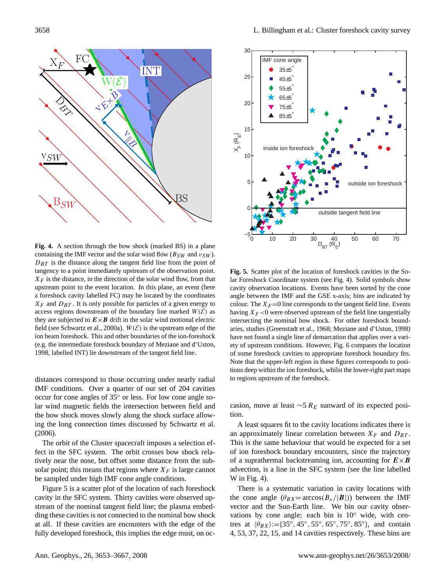

<span id="page-5-0"></span>**Fig. 4.** A section through the bow shock (marked BS) in a plane **Fig. 4.** A section through the bow shock (marked BS) in a plane containing the IMF vector and the solar wind flow  $(B_{SW}$  and  $v_{SW}$ ).  $D_{BT}$  is the distance along the tangent field line from the point of  $D_{BT}$  $\frac{1}{B}T$  is the distance along the distance along the distance along the observation point.  $X_F$  is the distance, in the direction of the solar wind flow, from that  $X_F$  is the distance, in the direction of the solar wind flow, from that  $u_r$  is the distance, in the direction of the solar wind flow, from that upstream point to the event location. In this plane, an event (here a foreshock cavity labelled FC) may be located by the coordinates a foreshock cavity labelled FC) may be located by the coordinates From DBT and DBT . It is one particle for particles of a given energy to possible for  $p_1$  and  $q_2$ a foreshock cavity habilitative in the boundary line coordinates  $X_F$  and  $D_{BT}$ . It is only possible for particles of a given energy to  $\Lambda_F$  and  $D_{BI}$ . It is omly possible for particles of a given energy to access regions downstream of the boundary line marked  $W(E)$  as

they are subjected to  $E \times B$  drift in the solar wind motional electric they are subjected to  $E \times B$  drift in the solar wind motional electric field (see [Schwartz et al.,](#page-13-23) [2000a\)](#page-13-23).  $W(\mathcal{E})$  is the upstream edge of the<br>the homogeneous This and other houndaries of the ion-foreshock ion beam foreshock. This and other boundaries of the ion-foreshock. for beam foreshock. This and other boundaries of the fon-foreshock<br>(e.g. the intermediate foreshock boundary of [Meziane and d'Uston,](#page-13-22) [1998,](#page-13-22) labelled INT) lie downstream of the tangent field line. are subjected to  $E \times B$  drift in the solar wind motional electric<br>field (see Septuative at al. 2000a).  $W(S)$  is the unstream edge of the  $\epsilon$ , the intermediate foreshock boundary of Meziane and dependence and dependence  $\epsilon$ 

distances correspond to those occurring under nearly radial IMF conditions. Over a quarter of our set of 204 cavities occur for cone angles of 35◦ or less. For low cone angle solar wind magnetic fields the intersection between field and the bow shock moves slowly along the shock surface allowing the long connection times discussed by [Schwartz et al.](#page-13-10) [\(2006\)](#page-13-10).

The orbit of the Cluster spacecraft imposes a selection effect in the SFC system. The orbit crosses bow shock relatively near the nose, but offset some distance from the subsolar point; this means that regions where  $X_F$  is large cannot be sampled under high IMF cone angle conditions.

Figure [5](#page-5-1) is a scatter plot of the location of each foreshock cavity in the SFC system. Thirty cavities were observed upstream of the nominal tangent field line; the plasma embedding these cavities is not connected to the nominal bow shock at all. If these cavities are encounters with the edge of the fully developed foreshock, this implies the edge must, on oc-



<span id="page-5-1"></span> $\mathbf{F}$   $\mathbf{F}$   $\mathbf{g}$   $\mathbf{g}$   $\mathbf{g}$   $\mathbf{g}$   $\mathbf{g}$   $\mathbf{g}$   $\mathbf{g}$   $\mathbf{g}$   $\mathbf{g}$   $\mathbf{g}$   $\mathbf{g}$   $\mathbf{g}$   $\mathbf{g}$   $\mathbf{g}$   $\mathbf{g}$   $\mathbf{g}$   $\mathbf{g}$   $\mathbf{g}$   $\mathbf{g}$   $\mathbf{g}$   $\mathbf{g}$   $\mathbf{g}$   $\mathbf{$ **Fig. 5.** Scatter plot of the location of foreshock cavities in the Solar Foreshock Coordinate system (see Fig. 4). Solid symbols show cavity observation locations. Events have been sorted by the cone angle between the IMF and the GSE x-axis; bins are indicated by colour. The  $X_F = 0$  line corresponds to the tangent field line. Events having  $X_F < 0$  were observed upstream of the field line tangentially intersecting the nominal bow shock. For other foreshock bound-aries, studies [\(Greenstadt et al.,](#page-13-1) [1968;](#page-13-1) [Meziane and d'Uston,](#page-13-22) [1998\)](#page-13-22) have not found a single line of demarcation that applies over a variety of upstream conditions. However, Fig. 6 compares the location of some foreshock cavities to appropriate foreshock boundary fits.<br>Note that the location of some foreshock boundary fits. Note that the upper-left region in these figures corresponds to positions deep within the ion foreshock, whilst the lower-right part maps to regions upstream of the foreshock.

casion, move at least  $\sim$ 5  $R_E$  sunward of its expected position.

A least squares fit to the cavity locations indicates there is an approximately linear correlation between  $X_F$  and  $D_{BT}$ . This is the same behaviour that would be expected for a set of ion foreshock boundary encounters, since the trajectory of a suprathermal backstreaming ion, accounting for  $E \times B$ advection, is a line in the SFC system (see the line labelled W in Fig. [4\)](#page-5-0).

There is a systematic variation in cavity locations with the cone angle  $(\theta_{BX} = \arccos(B_x/|B|))$  between the IMF vector and the Sun-Earth line. We bin our cavity observations by cone angle; each bin is 10° wide, with centres at  $\langle \theta_{BX} \rangle = \{35^\circ, 45^\circ, 55^\circ, 65^\circ, 75^\circ, 85^\circ\}$ , and contain 4, 53, 37, 22, 15, and 14 cavities respectively. These bins are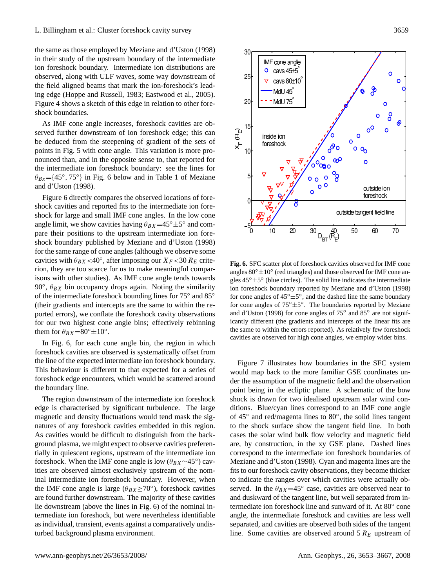the same as those employed by [Meziane and d'Uston](#page-13-22) [\(1998\)](#page-13-22) in their study of the upstream boundary of the intermediate ion foreshock boundary. Intermediate ion distributions are observed, along with ULF waves, some way downstream of the field aligned beams that mark the ion-foreshock's leading edge [\(Hoppe and Russell,](#page-13-24) [1983;](#page-13-24) [Eastwood et al.,](#page-13-25) [2005\)](#page-13-25). Figure [4](#page-5-0) shows a sketch of this edge in relation to other foreshock boundaries.

As IMF cone angle increases, foreshock cavities are observed further downstream of ion foreshock edge; this can be deduced from the steepening of gradient of the sets of points in Fig. [5](#page-5-1) with cone angle. This variation is more pronounced than, and in the opposite sense to, that reported for the intermediate ion foreshock boundary: see the lines for  $\theta_{Bx} = \{45^\circ, 75^\circ\}$  in Fig. [6](#page-6-0) below and in Table 1 of [Meziane](#page-13-22) [and d'Uston](#page-13-22) [\(1998\)](#page-13-22).

Figure [6](#page-6-0) directly compares the observed locations of foreshock cavities and reported fits to the intermediate ion foreshock for large and small IMF cone angles. In the low cone angle limit, we show cavities having  $\theta_{BX} = 45^\circ \pm 5^\circ$  and compare their positions to the upstream intermediate ion foreshock boundary published by [Meziane and d'Uston](#page-13-22) [\(1998\)](#page-13-22) for the same range of cone angles (although we observe some cavities with  $\theta_{BX}$ <40°, after imposing our  $X_F$ <30  $R_E$  criterion, they are too scarce for us to make meaningful comparisons with other studies). As IMF cone angle tends towards 90 $\degree$ ,  $\theta_{BX}$  bin occupancy drops again. Noting the similarity of the intermediate foreshock bounding lines for 75◦ and 85◦ (their gradients and intercepts are the same to within the reported errors), we conflate the foreshock cavity observations for our two highest cone angle bins; effectively rebinning them for  $\theta_{BX} = 80^\circ \pm 10^\circ$ .

In Fig. [6,](#page-6-0) for each cone angle bin, the region in which foreshock cavities are observed is systematically offset from the line of the expected intermediate ion foreshock boundary. This behaviour is different to that expected for a series of foreshock edge encounters, which would be scattered around the boundary line.

The region downstream of the intermediate ion foreshock edge is characterised by significant turbulence. The large magnetic and density fluctuations would tend mask the signatures of any foreshock cavities embedded in this region. As cavities would be difficult to distinguish from the background plasma, we might expect to observe cavities preferentially in quiescent regions, upstream of the intermediate ion foreshock. When the IMF cone angle is low  $(\theta_{BX} \sim 45^\circ)$  cavities are observed almost exclusively upstream of the nominal intermediate ion foreshock boundary. However, when the IMF cone angle is large ( $\theta_{BX} \ge 70^\circ$ ), foreshock cavities are found further downstream. The majority of these cavities lie downstream (above the lines in Fig. [6\)](#page-6-0) of the nominal intermediate ion foreshock, but were nevertheless identifiable as individual, transient, events against a comparatively undisturbed background plasma environment.



<span id="page-6-0"></span>**Fig. 6.** SFC scatter plot of foreshock cavities observed for IMF cone **Fig. 6.** SFC scatter plot of foreshock cavities observed for IMF cone angles  $80° \pm 10°$  (red triangles) and those observed for IMF cone an- $\frac{\text{m}}{\text{s}}$  gles  $45^\circ \pm 5^\circ$  (blue circles). The solid line indicates the intermediate ion foreshock boundary reported by [Meziane and d'Uston](#page-13-22) [\(1998\)](#page-13-22) for cone angles of  $45^\circ \pm 5^\circ$ , and the dashed line the same boundary for cone angles of  $75° ± 5°$ . The boundaries reported by [Meziane](#page-13-22) [and d'Uston](#page-13-22) [\(1998\)](#page-13-22) for cone angles of  $75^\circ$  and  $85^\circ$  are not significantly different (the gradients and intercepts of the linear fits are the same to within the errors reported). As relatively few foreshock  $\frac{1}{2}$  swities are observed for high cone angles, we employ wider hins bins. cavities are observed for high cone angles, we employ wider bins.

Figure [7](#page-7-0) illustrates how boundaries in the SFC system would map back to the more familiar GSE coordinates under the assumption of the magnetic field and the observation point being in the ecliptic plane. A schematic of the bow shock is drawn for two idealised upstream solar wind conditions. Blue/cyan lines correspond to an IMF cone angle of 45◦ and red/magenta lines to 80◦ , the solid lines tangent to the shock surface show the tangent field line. In both cases the solar wind bulk flow velocity and magnetic field are, by construction, in the xy GSE plane. Dashed lines correspond to the intermediate ion foreshock boundaries of [Meziane and d'Uston](#page-13-22) [\(1998\)](#page-13-22). Cyan and magenta lines are the fits to our foreshock cavity observations, they become thicker to indicate the ranges over which cavities were actually observed. In the  $\theta_{BX} = 45^\circ$  case, cavities are observed near to and duskward of the tangent line, but well separated from intermediate ion foreshock line and sunward of it. At 80◦ cone angle, the intermediate foreshock and cavities are less well separated, and cavities are observed both sides of the tangent line. Some cavities are observed around  $5 R_E$  upstream of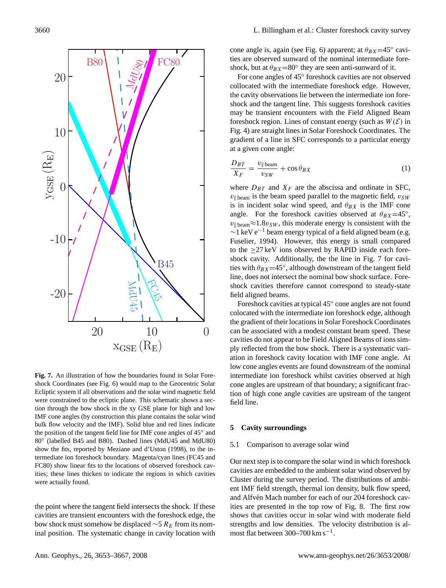

<span id="page-7-0"></span>**Fig. 7.** An illustration of how the boundaries found in Solar Fore-**Fig. 7.** An illustration of how the boundaries found in Solar Fore-shock Coordinates (see Fig. [6\)](#page-6-0) would map to the Geocentric Solar Ecliptic system if all observations and the solar wind magnetic field Ecliptic system if all observations and the solar wind magnetic field were constrained to the ecliptic plane. This schematic shows a sec-were constrained to the ecliptic plane. This schematic shows a secthe constrained to the conput plane. This sendmate shows a see tion through the bow shock in the xy GSE plane for high and low IMF cone angles (by construction this plane contains the solar wind bulk flow velocity and the IMF). Solid blue and red lines indicate the position of the tangent field line for IMF cone angles of 45° and 80° (labelled B45 and B80). Dashed lines (MdU45 and MdU80) show the fits, reported by Meziane and d'Uston [\(1998\)](#page-13-22), to the intermediate ion foreshock boundary. Magenta/cyan lines (FC45 and FC80) show linear fits to the locations of observed foreshock cavities; these lines thicken to indicate the regions in which cavities were actually found.

the point where the tangent field intersects the shock. If these cavities are transient encounters with the foreshock edge, the bow shock must somehow be displaced  $\sim$ 5 R<sub>E</sub> from its nominal position. The systematic change in cavity location with cone angle is, again (see Fig. [6\)](#page-6-0) apparent; at  $\theta_{BX}$ =45° cavities are observed sunward of the nominal intermediate foreshock, but at  $\theta_{BX} = 80^\circ$  they are seen anti-sunward of it.

For cone angles of 45◦ foreshock cavities are not observed collocated with the intermediate foreshock edge. However, the cavity observations lie between the intermediate ion foreshock and the tangent line. This suggests foreshock cavities may be transient encounters with the Field Aligned Beam foreshock region. Lines of constant energy (such as  $W(\mathcal{E})$  in Fig. 4) are straight lines in Solar Foreshock Coordinates. The gradient of a line in SFC corresponds to a particular energy at a given cone angle:

$$
\frac{D_{BT}}{X_F} = \frac{v_{\parallel \text{beam}}}{v_{SW}} + \cos \theta_{BX} \tag{1}
$$

where  $D_{BT}$  and  $X_F$  are the abscissa and ordinate in SFC,  $v_{\parallel}$  beam is the beam speed parallel to the magnetic field,  $v_{SW}$ is in incident solar wind speed, and  $\theta_{BX}$  is the IMF cone angle. For the foreshock cavities observed at  $\theta_{BX} = 45^\circ$ ,  $v_{\parallel \text{beam}} \approx 1.8v_{SW}$ , this moderate energy is consistent with the  $\sim$ 1 keV e<sup>-1</sup> beam energy typical of a field aligned beam (e.g. [Fuselier,](#page-13-26) [1994\)](#page-13-26). However, this energy is small compared to the  $\geq$ 27 keV ions observed by RAPID inside each foreshock cavity. Additionally, the the line in Fig. [7](#page-7-0) for cavities with  $\theta_{BX}$ =45°, although downstream of the tangent field line, does not intersect the nominal bow shock surface. Foreshock cavities therefore cannot correspond to steady-state field aligned beams.

Foreshock cavities at typical 45◦ cone angles are not found colocated with the intermediate ion foreshock edge, although the gradient of their locations in Solar Foreshock Coordinates can be associated with a modest constant beam speed. These cavities do not appear to be Field Aligned Beams of ions simply reflected from the bow shock. There is a systematic variation in foreshock cavity location with IMF cone angle. At low cone angles events are found downstream of the nominal intermediate ion foreshock whilst cavities observed at high cone angles are upstream of that boundary; a significant fraction of high cone angle cavities are upstream of the tangent field line.

## **5 Cavity surroundings**

#### 5.1 Comparison to average solar wind

Our next step is to compare the solar wind in which foreshock cavities are embedded to the ambient solar wind observed by Cluster during the survey period. The distributions of ambient IMF field strength, thermal ion density, bulk flow speed, and Alfvén Mach number for each of our 204 foreshock cavities are presented in the top row of Fig. [8.](#page-8-0) The first row shows that cavities occur in solar wind with moderate field strengths and low densities. The velocity distribution is almost flat between  $300-700$  km s<sup>-1</sup>.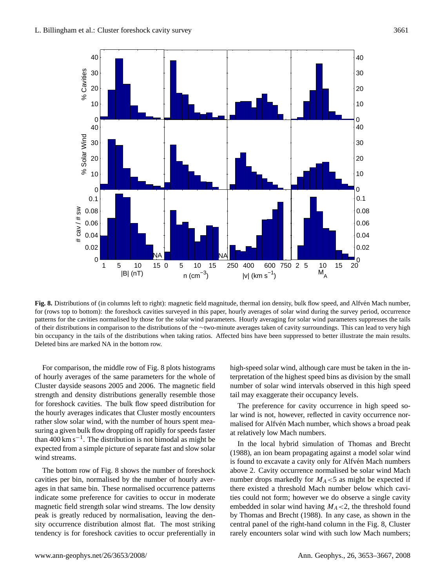

<span id="page-8-0"></span>Fig. 8. Distributions of (in columns left to right): magnetic field magnitude, thermal ion density, bulk flow speed, and Alfvén Mach number, patterns for the cavities normalised by those for the solar wind parameters. Hourly averaging for solar wind parameters suppresses the tails of their distributions in comparison to the distributions of the  $\sim$ two-minute averages taken of cavity surroundings. This can lead to very high bin occupancy in the tails of the distributions when taking ratios. Affected bins have been suppressed to better illustrate the main results. Deleted bins are marked NA in the bottom row. for (rows top to bottom): the foreshock cavities surveyed in this paper, hourly averages of solar wind during the survey period, occurrence

For comparison, the middle row of Fig. [8](#page-8-0) plots histograms of hourly averages of the same parameters for the whole of Cluster dayside seasons 2005 and 2006. The magnetic field strength and density distributions generally resemble those for foreshock cavities. The bulk flow speed distribution for the hourly averages indicates that Cluster mostly encounters rather slow solar wind, with the number of hours spent measuring a given bulk flow dropping off rapidly for speeds faster than 400 km s−<sup>1</sup> . The distribution is not bimodal as might be expected from a simple picture of separate fast and slow solar wind streams.

The bottom row of Fig. [8](#page-8-0) shows the number of foreshock cavities per bin, normalised by the number of hourly averages in that same bin. These normalised occurrence patterns indicate some preference for cavities to occur in moderate magnetic field strength solar wind streams. The low density peak is greatly reduced by normalisation, leaving the density occurrence distribution almost flat. The most striking tendency is for foreshock cavities to occur preferentially in high-speed solar wind, although care must be taken in the interpretation of the highest speed bins as division by the small number of solar wind intervals observed in this high speed tail may exaggerate their occupancy levels.

The preference for cavity occurrence in high speed solar wind is not, however, reflected in cavity occurrence normalised for Alfvén Mach number, which shows a broad peak at relatively low Mach numbers.

In the local hybrid simulation of [Thomas and Brecht](#page-14-1) [\(1988\)](#page-14-1), an ion beam propagating against a model solar wind is found to excavate a cavity only for Alfvén Mach numbers above 2. Cavity occurrence normalised be solar wind Mach number drops markedly for  $M<sub>A</sub> < 5$  as might be expected if there existed a threshold Mach number below which cavities could not form; however we do observe a single cavity embedded in solar wind having  $M_A < 2$ , the threshold found by [Thomas and Brecht](#page-14-1) [\(1988\)](#page-14-1). In any case, as shown in the central panel of the right-hand column in the Fig. [8,](#page-8-0) Cluster rarely encounters solar wind with such low Mach numbers;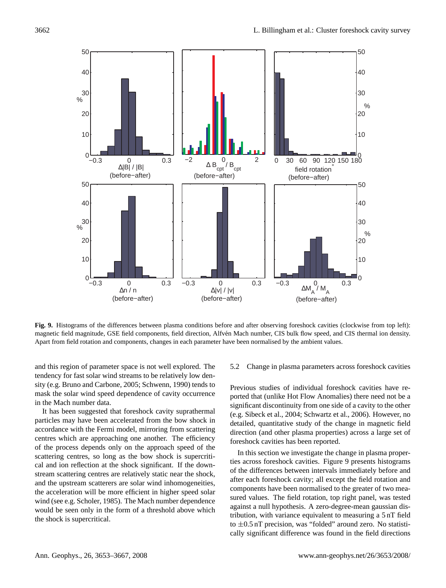

magnetic field magnitude, GSE field components, field direction, Alfvén Mach number, CIS bulk flow speed, and CIS thermal ion density. Apart from field rotation and components, changes in each parameter have been normalised by the ambient values. **Fig. 9.** Histograms of the differences between plasma conditions before and after observing foreshock cavities (clockwise from top left):

<span id="page-9-0"></span>and this region of parameter space is not well explored. The tendency for fast solar wind streams to be relatively low density (e.g. [Bruno and Carbone,](#page-12-1) [2005;](#page-12-1) [Schwenn,](#page-13-27) [1990\)](#page-13-27) tends to mask the solar wind speed dependence of cavity occurrence in the Mach number data.

It has been suggested that foreshock cavity suprathermal particles may have been accelerated from the bow shock in accordance with the Fermi model, mirroring from scattering centres which are approaching one another. The efficiency of the process depends only on the approach speed of the scattering centres, so long as the bow shock is supercritical and ion reflection at the shock significant. If the downstream scattering centres are relatively static near the shock, and the upstream scatterers are solar wind inhomogeneities, the acceleration will be more efficient in higher speed solar wind (see e.g. [Scholer,](#page-13-28) [1985\)](#page-13-28). The Mach number dependence would be seen only in the form of a threshold above which the shock is supercritical.

## 5.2 Change in plasma parameters across foreshock cavities

Previous studies of individual foreshock cavities have reported that (unlike Hot Flow Anomalies) there need not be a significant discontinuity from one side of a cavity to the other (e.g. [Sibeck et al.,](#page-13-11) [2004;](#page-13-11) [Schwartz et al.,](#page-13-10) [2006\)](#page-13-10). However, no detailed, quantitative study of the change in magnetic field direction (and other plasma properties) across a large set of foreshock cavities has been reported.

In this section we investigate the change in plasma properties across foreshock cavities. Figure [9](#page-9-0) presents histograms of the differences between intervals immediately before and after each foreshock cavity; all except the field rotation and components have been normalised to the greater of two measured values. The field rotation, top right panel, was tested against a null hypothesis. A zero-degree-mean gaussian distribution, with variance equivalent to measuring a 5 nT field to  $\pm 0.5$  nT precision, was "folded" around zero. No statistically significant difference was found in the field directions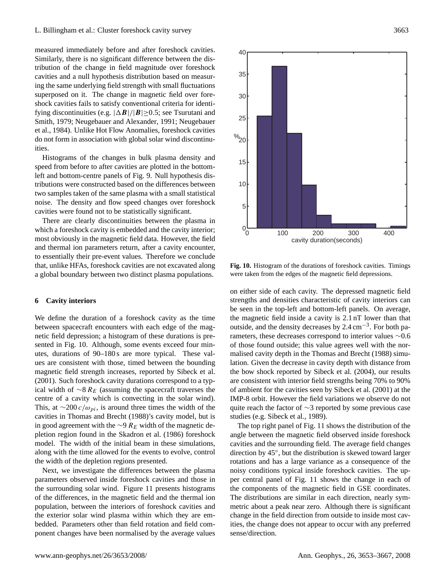measured immediately before and after foreshock cavities. Similarly, there is no significant difference between the distribution of the change in field magnitude over foreshock cavities and a null hypothesis distribution based on measuring the same underlying field strength with small fluctuations superposed on it. The change in magnetic field over foreshock cavities fails to satisfy conventional criteria for identifying discontinuities (e.g.  $|\Delta \mathbf{B}|/|\mathbf{B}| \ge 0.5$ ; see [Tsurutani and](#page-14-5) [Smith,](#page-14-5) [1979;](#page-14-5) [Neugebauer and Alexander,](#page-13-29) [1991;](#page-13-29) [Neugebauer](#page-13-30) [et al.,](#page-13-30) [1984\)](#page-13-30). Unlike Hot Flow Anomalies, foreshock cavities do not form in association with global solar wind discontinuities.

Histograms of the changes in bulk plasma density and speed from before to after cavities are plotted in the bottomleft and bottom-centre panels of Fig. [9.](#page-9-0) Null hypothesis distributions were constructed based on the differences between two samples taken of the same plasma with a small statistical noise. The density and flow speed changes over foreshock cavities were found not to be statistically significant.

There are clearly discontinuities between the plasma in which a foreshock cavity is embedded and the cavity interior; most obviously in the magnetic field data. However, the field and thermal ion parameters return, after a cavity encounter, to essentially their pre-event values. Therefore we conclude that, unlike HFAs, foreshock cavities are not excavated along a global boundary between two distinct plasma populations.

#### **6 Cavity interiors**

We define the duration of a foreshock cavity as the time between spacecraft encounters with each edge of the magnetic field depression; a histogram of these durations is presented in Fig. [10.](#page-10-0) Although, some events exceed four minutes, durations of 90–180 s are more typical. These values are consistent with those, timed between the bounding magnetic field strength increases, reported by [Sibeck et al.](#page-13-14) [\(2001\)](#page-13-14). Such foreshock cavity durations correspond to a typical width of  $\sim$ 8 R<sub>E</sub> (assuming the spacecraft traverses the centre of a cavity which is convecting in the solar wind). This, at  $\sim$ 200 c/ $\omega_{pi}$ , is around three times the width of the cavities in [Thomas and Brecht](#page-14-1) [\(1988\)](#page-14-1)'s cavity model, but is in good agreement with the ∼9  $R_E$  width of the magnetic depletion region found in the [Skadron et al.](#page-13-4) [\(1986\)](#page-13-4) foreshock model. The width of the initial beam in these simulations, along with the time allowed for the events to evolve, control the width of the depletion regions presented.

Next, we investigate the differences between the plasma parameters observed inside foreshock cavities and those in the surrounding solar wind. Figure [11](#page-11-0) presents histograms of the differences, in the magnetic field and the thermal ion population, between the interiors of foreshock cavities and the exterior solar wind plasma within which they are embedded. Parameters other than field rotation and field component changes have been normalised by the average values



<span id="page-10-0"></span>**Fig. 10.** Histogram of the durations of foreshock cavities. Timings **Fig. 10.** Histogram of the durations of foreshock cavities. Timings were taken from the edges of the magnetic field depressions. were taken from the edges of the magnetic field depressions.

on either side of each cavity. The depressed magnetic field strengths and densities characteristic of cavity interiors can be seen in the top-left and bottom-left panels. On average, the magnetic field inside a cavity is 2.1 nT lower than that outside, and the density decreases by 2.4 cm−<sup>3</sup> . For both parameters, these decreases correspond to interior values ∼0.6 of those found outside; this value agrees well with the normalised cavity depth in the [Thomas and Brecht](#page-14-1) [\(1988\)](#page-14-1) simulation. Given the decrease in cavity depth with distance from the bow shock reported by [Sibeck et al.](#page-13-11) [\(2004\)](#page-13-11), our results are consistent with interior field strengths being 70% to 90% of ambient for the cavities seen by [Sibeck et al.](#page-13-14) [\(2001\)](#page-13-14) at the IMP-8 orbit. However the field variations we observe do not quite reach the factor of ∼3 reported by some previous case studies (e.g. [Sibeck et al.,](#page-13-15) [1989\)](#page-13-15).

The top right panel of Fig. [11](#page-11-0) shows the distribution of the angle between the magnetic field observed inside foreshock cavities and the surrounding field. The average field changes direction by 45◦ , but the distribution is skewed toward larger rotations and has a large variance as a consequence of the noisy conditions typical inside foreshock cavities. The upper central panel of Fig. [11](#page-11-0) shows the change in each of the components of the magnetic field in GSE coordinates. The distributions are similar in each direction, nearly symmetric about a peak near zero. Although there is significant change in the field direction from outside to inside most cavities, the change does not appear to occur with any preferred sense/direction.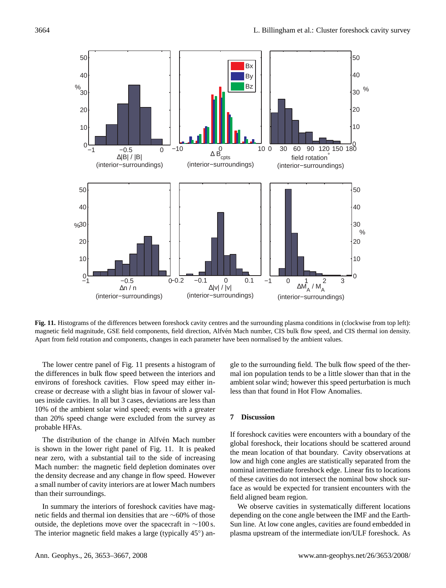



magnetic field magnitude, GSE field components, field direction, Alfvén Mach number, CIS bulk flow speed, and CIS thermal ion density. Apart from field rotation and components, changes in each parameter have been normalised by the ambient values. **Fig. 11.** Histograms of the differences between foreshock cavity centres and the surrounding plasma conditions in (clockwise from top left):

<span id="page-11-0"></span>The lower centre panel of Fig. [11](#page-11-0) presents a histogram of the differences in bulk flow speed between the interiors and environs of foreshock cavities. Flow speed may either increase or decrease with a slight bias in favour of slower values inside cavities. In all but 3 cases, deviations are less than 10% of the ambient solar wind speed; events with a greater than 20% speed change were excluded from the survey as probable HFAs.

The distribution of the change in Alfvén Mach number is shown in the lower right panel of Fig. [11.](#page-11-0) It is peaked near zero, with a substantial tail to the side of increasing Mach number: the magnetic field depletion dominates over the density decrease and any change in flow speed. However a small number of cavity interiors are at lower Mach numbers than their surroundings.

In summary the interiors of foreshock cavities have magnetic fields and thermal ion densities that are ∼60% of those outside, the depletions move over the spacecraft in  $\sim$ 100 s. The interior magnetic field makes a large (typically 45°) angle to the surrounding field. The bulk flow speed of the thermal ion population tends to be a little slower than that in the ambient solar wind; however this speed perturbation is much less than that found in Hot Flow Anomalies.

# **7 Discussion**

If foreshock cavities were encounters with a boundary of the global foreshock, their locations should be scattered around the mean location of that boundary. Cavity observations at low and high cone angles are statistically separated from the nominal intermediate foreshock edge. Linear fits to locations of these cavities do not intersect the nominal bow shock surface as would be expected for transient encounters with the field aligned beam region.

We observe cavities in systematically different locations depending on the cone angle between the IMF and the Earth-Sun line. At low cone angles, cavities are found embedded in plasma upstream of the intermediate ion/ULF foreshock. As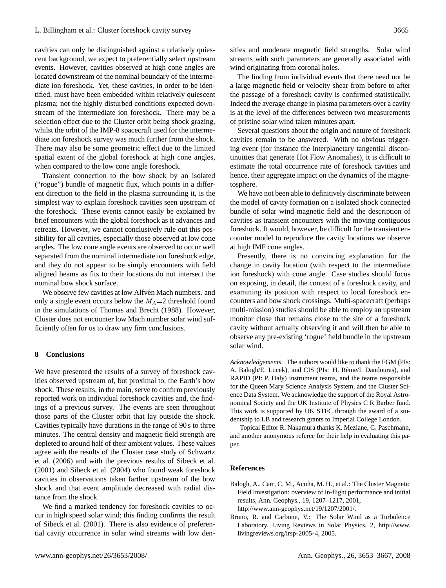cavities can only be distinguished against a relatively quiescent background, we expect to preferentially select upstream events. However, cavities observed at high cone angles are located downstream of the nominal boundary of the intermediate ion foreshock. Yet, these cavities, in order to be identified, must have been embedded within relatively quiescent plasma; not the highly disturbed conditions expected downstream of the intermediate ion foreshock. There may be a selection effect due to the Cluster orbit being shock grazing, whilst the orbit of the IMP-8 spacecraft used for the intermediate ion foreshock survey was much further from the shock. There may also be some geometric effect due to the limited spatial extent of the global foreshock at high cone angles, when compared to the low cone angle foreshock.

Transient connection to the bow shock by an isolated ("rogue") bundle of magnetic flux, which points in a different direction to the field in the plasma surrounding it, is the simplest way to explain foreshock cavities seen upstream of the foreshock. These events cannot easily be explained by brief encounters with the global foreshock as it advances and retreats. However, we cannot conclusively rule out this possibility for all cavities, especially those observed at low cone angles. The low cone angle events are observed to occur well separated from the nominal intermediate ion foreshock edge, and they do not appear to be simply encounters with field aligned beams as fits to their locations do not intersect the nominal bow shock surface.

We observe few cavities at low Alfvén Mach numbers. and only a single event occurs below the  $M_A=2$  threshold found in the simulations of [Thomas and Brecht](#page-14-1) [\(1988\)](#page-14-1). However, Cluster does not encounter low Mach number solar wind sufficiently often for us to draw any firm conclusions.

#### **8 Conclusions**

We have presented the results of a survey of foreshock cavities observed upstream of, but proximal to, the Earth's bow shock. These results, in the main, serve to confirm previously reported work on individual foreshock cavities and, the findings of a previous survey. The events are seen throughout those parts of the Cluster orbit that lay outside the shock. Cavities typically have durations in the range of 90 s to three minutes. The central density and magnetic field strength are depleted to around half of their ambient values. These values agree with the results of the Cluster case study of [Schwartz](#page-13-10) [et al.](#page-13-10) [\(2006\)](#page-13-10) and with the previous results of [Sibeck et al.](#page-13-14) [\(2001\)](#page-13-14) and [Sibeck et al.](#page-13-11) [\(2004\)](#page-13-11) who found weak foreshock cavities in observations taken farther upstream of the bow shock and that event amplitude decreased with radial distance from the shock.

We find a marked tendency for foreshock cavities to occur in high speed solar wind; this finding confirms the result of [Sibeck et al.](#page-13-14) [\(2001\)](#page-13-14). There is also evidence of preferential cavity occurrence in solar wind streams with low densities and moderate magnetic field strengths. Solar wind streams with such parameters are generally associated with wind originating from coronal holes.

The finding from individual events that there need not be a large magnetic field or velocity shear from before to after the passage of a foreshock cavity is confirmed statistically. Indeed the average change in plasma parameters over a cavity is at the level of the differences between two measurements of pristine solar wind taken minutes apart.

Several questions about the origin and nature of foreshock cavities remain to be answered. With no obvious triggering event (for instance the interplanetary tangential discontinuities that generate Hot Flow Anomalies), it is difficult to estimate the total occurrence rate of foreshock cavities and hence, their aggregate impact on the dynamics of the magnetosphere.

We have not been able to definitively discriminate between the model of cavity formation on a isolated shock connected bundle of solar wind magnetic field and the description of cavities as transient encounters with the moving contiguous foreshock. It would, however, be difficult for the transient encounter model to reproduce the cavity locations we observe at high IMF cone angles.

Presently, there is no convincing explanation for the change in cavity location (with respect to the intermediate ion foreshock) with cone angle. Case studies should focus on exposing, in detail, the context of a foreshock cavity, and examining its position with respect to local foreshock encounters and bow shock crossings. Multi-spacecraft (perhaps multi-mission) studies should be able to employ an upstream monitor close that remains close to the site of a foreshock cavity without actually observing it and will then be able to observe any pre-existing 'rogue' field bundle in the upstream solar wind.

*Acknowledgements.* The authors would like to thank the FGM (PIs: A. Balogh/E. Lucek), and CIS (PIs: H. Rème/I. Dandouras), and RAPID (PI: P. Daly) instrument teams, and the teams responsible for the Queen Mary Science Analysis System, and the Cluster Science Data System. We acknowledge the support of the Royal Astronomical Society and the UK Institute of Physics C R Barber fund. This work is supported by UK STFC through the award of a studentship to LB and research grants to Imperial College London.

Topical Editor R. Nakamura thanks K. Meziane, G. Paschmann, and another anonymous referee for their help in evaluating this paper.

## **References**

- <span id="page-12-0"></span>Balogh, A., Carr, C. M., Acuña, M. H., et al.: The Cluster Magnetic Field Investigation: overview of in-flight performance and initial results, Ann. Geophys., 19, 1207–1217, 2001, [http://www.ann-geophys.net/19/1207/2001/.](http://www.ann-geophys.net/19/1207/2001/)
- <span id="page-12-1"></span>Bruno, R. and Carbone, V.: The Solar Wind as a Turbulence Laboratory, Living Reviews in Solar Physics, 2, [http://www.](http://www.livingreviews.org/lrsp-2005-4) [livingreviews.org/lrsp-2005-4,](http://www.livingreviews.org/lrsp-2005-4) 2005.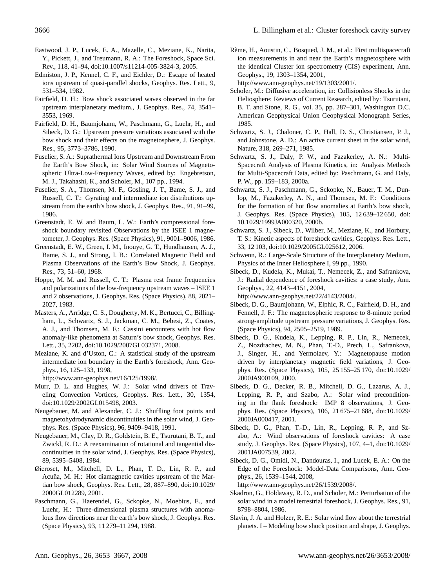- <span id="page-13-25"></span>Eastwood, J. P., Lucek, E. A., Mazelle, C., Meziane, K., Narita, Y., Pickett, J., and Treumann, R. A.: The Foreshock, Space Sci. Rev., 118, 41–94, doi:10.1007/s11214-005-3824-3, 2005.
- <span id="page-13-0"></span>Edmiston, J. P., Kennel, C. F., and Eichler, D.: Escape of heated ions upstream of quasi-parallel shocks, Geophys. Res. Lett., 9, 531–534, 1982.
- <span id="page-13-2"></span>Fairfield, D. H.: Bow shock associated waves observed in the far upstream interplanetary medium., J. Geophys. Res., 74, 3541– 3553, 1969.
- <span id="page-13-8"></span>Fairfield, D. H., Baumjohann, W., Paschmann, G., Luehr, H., and Sibeck, D. G.: Upstream pressure variations associated with the bow shock and their effects on the magnetosphere, J. Geophys. Res., 95, 3773–3786, 1990.
- <span id="page-13-26"></span>Fuselier, S. A.: Suprathermal Ions Upstream and Downstream From the Earth's Bow Shock, in: Solar Wind Sources of Magnetospheric Ultra-Low-Frequency Waves, edited by: Engebretson, M. J., Takahashi, K., and Scholer, M., 107 pp., 1994.
- <span id="page-13-3"></span>Fuselier, S. A., Thomsen, M. F., Gosling, J. T., Bame, S. J., and Russell, C. T.: Gyrating and intermediate ion distributions upstream from the earth's bow shock, J. Geophys. Res., 91, 91–99, 1986.
- <span id="page-13-21"></span>Greenstadt, E. W. and Baum, L. W.: Earth's compressional foreshock boundary revisited Observations by the ISEE 1 magnetometer, J. Geophys. Res. (Space Physics), 91, 9001–9006, 1986.
- <span id="page-13-1"></span>Greenstadt, E. W., Green, I. M., Inouye, G. T., Hundhausen, A. J., Bame, S. J., and Strong, I. B.: Correlated Magnetic Field and Plasma Observations of the Earth's Bow Shock, J. Geophys. Res., 73, 51–60, 1968.
- <span id="page-13-24"></span>Hoppe, M. M. and Russell, C. T.: Plasma rest frame frequencies and polarizations of the low-frequency upstream waves – ISEE 1 and 2 observations, J. Geophys. Res. (Space Physics), 88, 2021– 2027, 1983.
- <span id="page-13-17"></span>Masters, A., Arridge, C. S., Dougherty, M. K., Bertucci, C., Billingham, L., Schwartz, S. J., Jackman, C. M., Bebesi, Z., Coates, A. J., and Thomsen, M. F.: Cassini encounters with hot flow anomaly-like phenomena at Saturn's bow shock, Geophys. Res. Lett., 35, 2202, doi:10.1029/2007GL032371, 2008.
- <span id="page-13-22"></span>Meziane, K. and d'Uston, C.: A statistical study of the upstream intermediate ion boundary in the Earth's foreshock, Ann. Geophys., 16, 125–133, 1998,
- [http://www.ann-geophys.net/16/125/1998/.](http://www.ann-geophys.net/16/125/1998/)
- <span id="page-13-13"></span>Murr, D. L. and Hughes, W. J.: Solar wind drivers of Traveling Convection Vortices, Geophys. Res. Lett., 30, 1354, doi:10.1029/2002GL015498, 2003.
- <span id="page-13-29"></span>Neugebauer, M. and Alexander, C. J.: Shuffling foot points and magnetohydrodynamic discontinuities in the solar wind, J. Geophys. Res. (Space Physics), 96, 9409–9418, 1991.
- <span id="page-13-30"></span>Neugebauer, M., Clay, D. R., Goldstein, B. E., Tsurutani, B. T., and Zwickl, R. D.: A reexamination of rotational and tangential discontinuities in the solar wind, J. Geophys. Res. (Space Physics), 89, 5395–5408, 1984.
- <span id="page-13-16"></span>Øieroset, M., Mitchell, D. L., Phan, T. D., Lin, R. P., and Acuña, M. H.: Hot diamagnetic cavities upstream of the Martian bow shock, Geophys. Res. Lett., 28, 887–890, doi:10.1029/ 2000GL012289, 2001.
- <span id="page-13-6"></span>Paschmann, G., Haerendel, G., Sckopke, N., Moebius, E., and Luehr, H.: Three-dimensional plasma structures with anomalous flow directions near the earth's bow shock, J. Geophys. Res. (Space Physics), 93, 11 279–11 294, 1988.

<span id="page-13-19"></span>Rème, H., Aoustin, C., Bosqued, J. M., et al.: First multispacecraft ion measurements in and near the Earth's magnetosphere with the identical Cluster ion spectrometry (CIS) experiment, Ann. Geophys., 19, 1303–1354, 2001,

[http://www.ann-geophys.net/19/1303/2001/.](http://www.ann-geophys.net/19/1303/2001/)

- <span id="page-13-28"></span>Scholer, M.: Diffusive acceleration, in: Collisionless Shocks in the Heliosphere: Reviews of Current Research, edited by: Tsurutani, B. T. and Stone, R. G., vol. 35, pp. 287–301, Washington D.C. American Geophysical Union Geophysical Monograph Series, 1985.
- <span id="page-13-5"></span>Schwartz, S. J., Chaloner, C. P., Hall, D. S., Christiansen, P. J., and Johnstone, A. D.: An active current sheet in the solar wind, Nature, 318, 269–271, 1985.
- <span id="page-13-23"></span>Schwartz, S. J., Daly, P. W., and Fazakerley, A. N.: Multi-Spacecraft Analysis of Plasma Kinetics, in: Analysis Methods for Multi-Spacecraft Data, edited by: Paschmann, G. and Daly, P. W., pp. 159–183, 2000a.
- <span id="page-13-7"></span>Schwartz, S. J., Paschmann, G., Sckopke, N., Bauer, T. M., Dunlop, M., Fazakerley, A. N., and Thomsen, M. F.: Conditions for the formation of hot flow anomalies at Earth's bow shock, J. Geophys. Res. (Space Physics), 105, 12 639–12 650, doi: 10.1029/1999JA000320, 2000b.
- <span id="page-13-10"></span>Schwartz, S. J., Sibeck, D., Wilber, M., Meziane, K., and Horbury, T. S.: Kinetic aspects of foreshock cavities, Geophys. Res. Lett., 33, 12 103, doi:10.1029/2005GL025612, 2006.
- <span id="page-13-27"></span>Schwenn, R.: Large-Scale Structure of the Interplanetary Medium, Physics of the Inner Heliosphere I, 99 pp., 1990.
- <span id="page-13-11"></span>Sibeck, D., Kudela, K., Mukai, T., Nemecek, Z., and Safrankova, J.: Radial dependence of foreshock cavities: a case study, Ann. Geophys., 22, 4143–4151, 2004,

[http://www.ann-geophys.net/22/4143/2004/.](http://www.ann-geophys.net/22/4143/2004/)

- <span id="page-13-15"></span>Sibeck, D. G., Baumjohann, W., Elphic, R. C., Fairfield, D. H., and Fennell, J. F.: The magnetospheric response to 8-minute period strong-amplitude upstream pressure variations, J. Geophys. Res. (Space Physics), 94, 2505–2519, 1989.
- <span id="page-13-12"></span>Sibeck, D. G., Kudela, K., Lepping, R. P., Lin, R., Nemecek, Z., Nozdrachev, M. N., Phan, T.-D., Prech, L., Safrankova, J., Singer, H., and Yermolaev, Y.: Magnetopause motion driven by interplanetary magnetic field variations, J. Geophys. Res. (Space Physics), 105, 25 155–25 170, doi:10.1029/ 2000JA900109, 2000.
- <span id="page-13-14"></span>Sibeck, D. G., Decker, R. B., Mitchell, D. G., Lazarus, A. J., Lepping, R. P., and Szabo, A.: Solar wind preconditioning in the flank foreshock: IMP 8 observations, J. Geophys. Res. (Space Physics), 106, 21 675–21 688, doi:10.1029/ 2000JA000417, 2001.
- <span id="page-13-9"></span>Sibeck, D. G., Phan, T.-D., Lin, R., Lepping, R. P., and Szabo, A.: Wind observations of foreshock cavities: A case study, J. Geophys. Res. (Space Physics), 107, 4–1, doi:10.1029/ 2001JA007539, 2002.
- <span id="page-13-18"></span>Sibeck, D. G., Omidi, N., Dandouras, I., and Lucek, E. A.: On the Edge of the Foreshock: Model-Data Comparisons, Ann. Geophys., 26, 1539–1544, 2008,

[http://www.ann-geophys.net/26/1539/2008/.](http://www.ann-geophys.net/26/1539/2008/)

- <span id="page-13-4"></span>Skadron, G., Holdaway, R. D., and Scholer, M.: Perturbation of the solar wind in a model terrestrial foreshock, J. Geophys. Res., 91, 8798–8804, 1986.
- <span id="page-13-20"></span>Slavin, J. A. and Holzer, R. E.: Solar wind flow about the terrestrial planets. I – Modeling bow shock position and shape, J. Geophys.